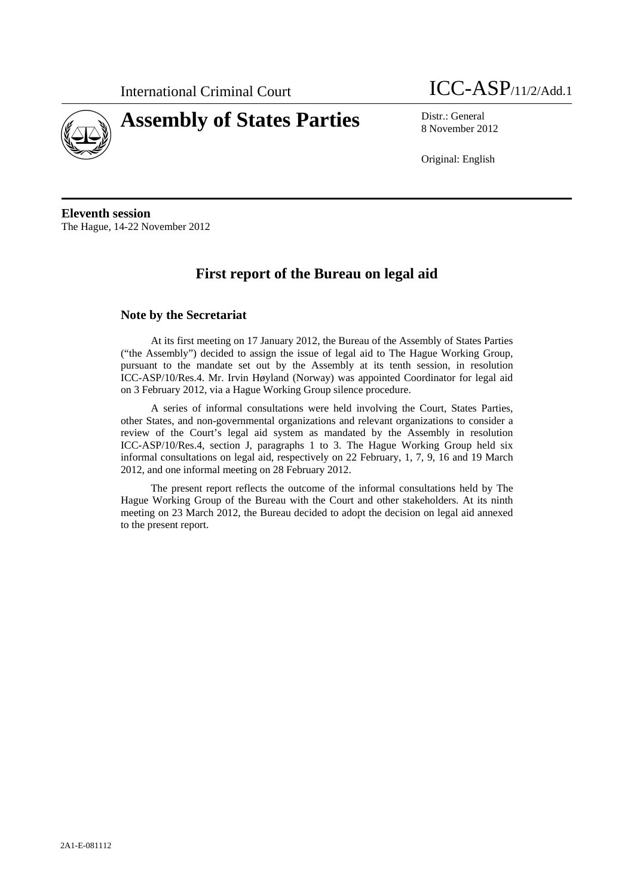

# **Assembly of States Parties** Distr.: General

International Criminal Court **ICC-ASP**/11/2/Add.1

8 November 2012

Original: English

**Eleventh session**  The Hague, 14-22 November 2012

# **First report of the Bureau on legal aid**

# **Note by the Secretariat**

At its first meeting on 17 January 2012, the Bureau of the Assembly of States Parties ("the Assembly") decided to assign the issue of legal aid to The Hague Working Group, pursuant to the mandate set out by the Assembly at its tenth session, in resolution ICC-ASP/10/Res.4. Mr. Irvin Høyland (Norway) was appointed Coordinator for legal aid on 3 February 2012, via a Hague Working Group silence procedure.

A series of informal consultations were held involving the Court, States Parties, other States, and non-governmental organizations and relevant organizations to consider a review of the Court's legal aid system as mandated by the Assembly in resolution ICC-ASP/10/Res.4, section J, paragraphs 1 to 3. The Hague Working Group held six informal consultations on legal aid, respectively on 22 February, 1, 7, 9, 16 and 19 March 2012, and one informal meeting on 28 February 2012.

The present report reflects the outcome of the informal consultations held by The Hague Working Group of the Bureau with the Court and other stakeholders. At its ninth meeting on 23 March 2012, the Bureau decided to adopt the decision on legal aid annexed to the present report.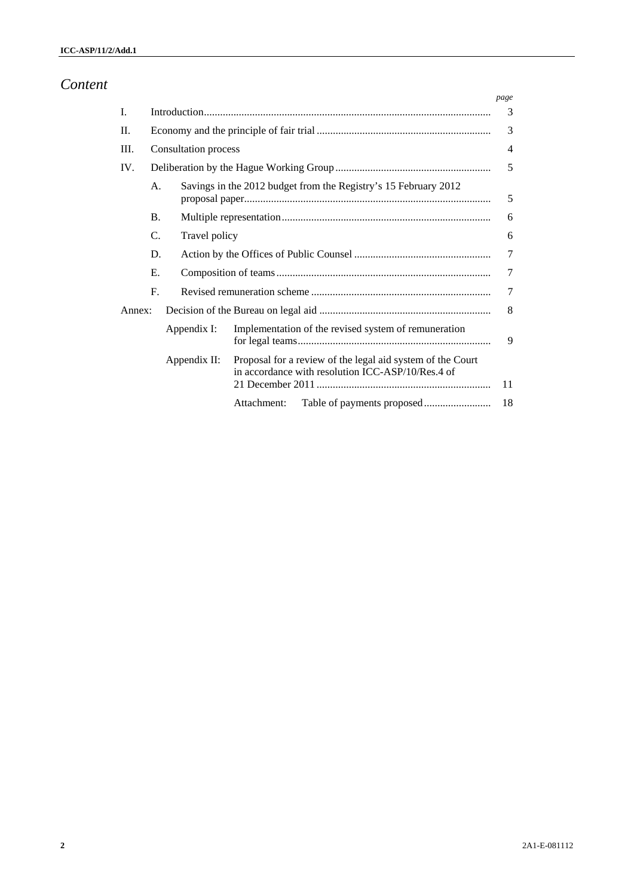# *Content*

|        |                 |                      |                                                                                                                 | page |  |  |  |  |
|--------|-----------------|----------------------|-----------------------------------------------------------------------------------------------------------------|------|--|--|--|--|
| I.     |                 |                      |                                                                                                                 |      |  |  |  |  |
| H.     |                 |                      |                                                                                                                 |      |  |  |  |  |
| III.   |                 | Consultation process |                                                                                                                 |      |  |  |  |  |
| IV.    |                 |                      |                                                                                                                 |      |  |  |  |  |
|        | A.              |                      | Savings in the 2012 budget from the Registry's 15 February 2012                                                 |      |  |  |  |  |
|        | <b>B.</b>       |                      |                                                                                                                 |      |  |  |  |  |
|        | $\mathcal{C}$ . | Travel policy        |                                                                                                                 |      |  |  |  |  |
|        | D.              |                      |                                                                                                                 |      |  |  |  |  |
|        | Е.              |                      |                                                                                                                 |      |  |  |  |  |
|        | $\mathbf{F}$    |                      |                                                                                                                 |      |  |  |  |  |
| Annex: |                 |                      |                                                                                                                 |      |  |  |  |  |
|        |                 | Appendix I:          | Implementation of the revised system of remuneration                                                            | 9    |  |  |  |  |
|        |                 | Appendix II:         | Proposal for a review of the legal aid system of the Court<br>in accordance with resolution ICC-ASP/10/Res.4 of |      |  |  |  |  |
|        |                 |                      | Attachment:                                                                                                     | 18   |  |  |  |  |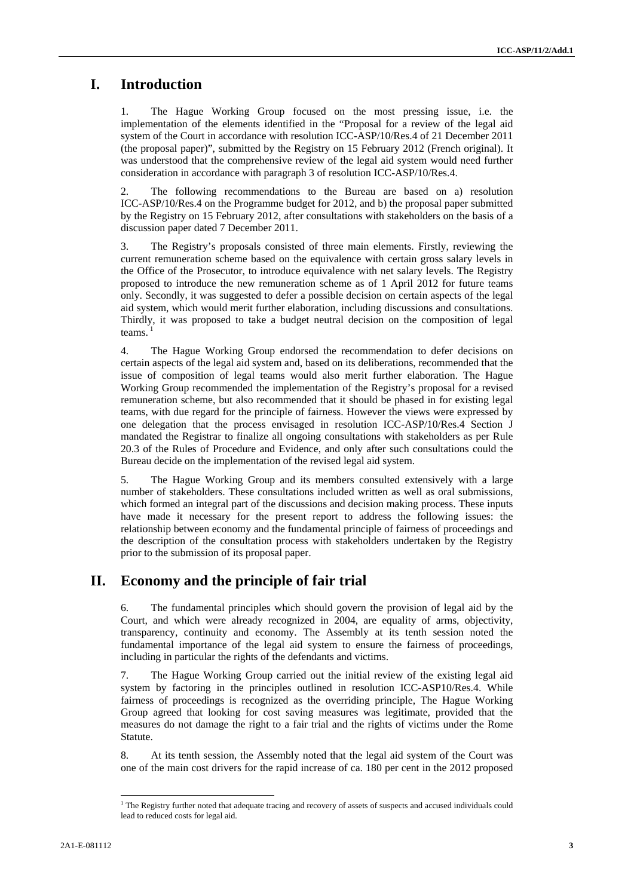# **I. Introduction**

1. The Hague Working Group focused on the most pressing issue, i.e. the implementation of the elements identified in the "Proposal for a review of the legal aid system of the Court in accordance with resolution ICC-ASP/10/Res.4 of 21 December 2011 (the proposal paper)", submitted by the Registry on 15 February 2012 (French original). It was understood that the comprehensive review of the legal aid system would need further consideration in accordance with paragraph 3 of resolution ICC-ASP/10/Res.4.

2. The following recommendations to the Bureau are based on a) resolution ICC-ASP/10/Res.4 on the Programme budget for 2012, and b) the proposal paper submitted by the Registry on 15 February 2012, after consultations with stakeholders on the basis of a discussion paper dated 7 December 2011.

3. The Registry's proposals consisted of three main elements. Firstly, reviewing the current remuneration scheme based on the equivalence with certain gross salary levels in the Office of the Prosecutor, to introduce equivalence with net salary levels. The Registry proposed to introduce the new remuneration scheme as of 1 April 2012 for future teams only. Secondly, it was suggested to defer a possible decision on certain aspects of the legal aid system, which would merit further elaboration, including discussions and consultations. Thirdly, it was proposed to take a budget neutral decision on the composition of legal teams.

4. The Hague Working Group endorsed the recommendation to defer decisions on certain aspects of the legal aid system and, based on its deliberations, recommended that the issue of composition of legal teams would also merit further elaboration. The Hague Working Group recommended the implementation of the Registry's proposal for a revised remuneration scheme, but also recommended that it should be phased in for existing legal teams, with due regard for the principle of fairness. However the views were expressed by one delegation that the process envisaged in resolution ICC-ASP/10/Res.4 Section J mandated the Registrar to finalize all ongoing consultations with stakeholders as per Rule 20.3 of the Rules of Procedure and Evidence, and only after such consultations could the Bureau decide on the implementation of the revised legal aid system.

5. The Hague Working Group and its members consulted extensively with a large number of stakeholders. These consultations included written as well as oral submissions, which formed an integral part of the discussions and decision making process. These inputs have made it necessary for the present report to address the following issues: the relationship between economy and the fundamental principle of fairness of proceedings and the description of the consultation process with stakeholders undertaken by the Registry prior to the submission of its proposal paper.

# **II. Economy and the principle of fair trial**

6. The fundamental principles which should govern the provision of legal aid by the Court, and which were already recognized in 2004, are equality of arms, objectivity, transparency, continuity and economy. The Assembly at its tenth session noted the fundamental importance of the legal aid system to ensure the fairness of proceedings, including in particular the rights of the defendants and victims.

7. The Hague Working Group carried out the initial review of the existing legal aid system by factoring in the principles outlined in resolution ICC-ASP10/Res.4. While fairness of proceedings is recognized as the overriding principle, The Hague Working Group agreed that looking for cost saving measures was legitimate, provided that the measures do not damage the right to a fair trial and the rights of victims under the Rome Statute.

8. At its tenth session, the Assembly noted that the legal aid system of the Court was one of the main cost drivers for the rapid increase of ca. 180 per cent in the 2012 proposed

 1 The Registry further noted that adequate tracing and recovery of assets of suspects and accused individuals could lead to reduced costs for legal aid.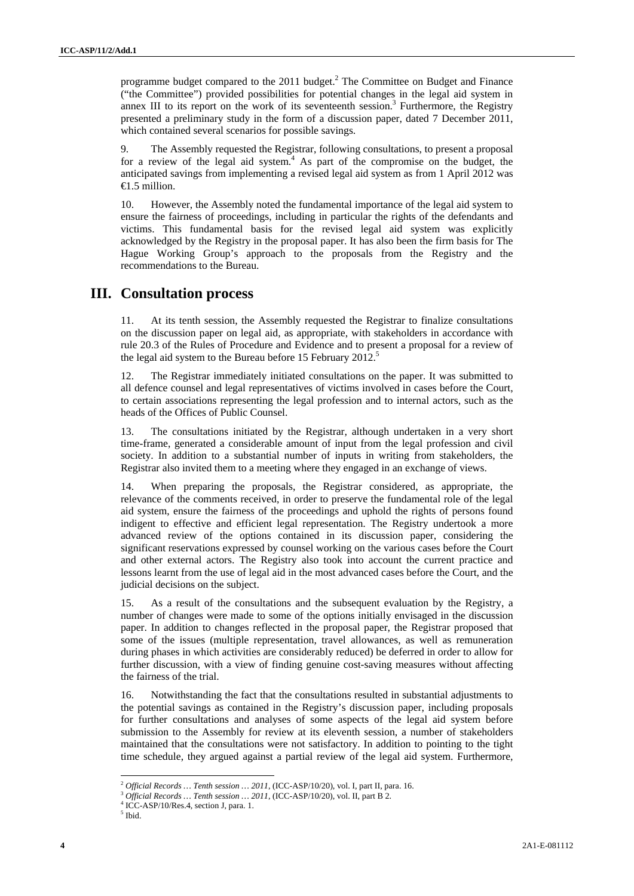programme budget compared to the  $2011$  budget.<sup>2</sup> The Committee on Budget and Finance ("the Committee") provided possibilities for potential changes in the legal aid system in annex III to its report on the work of its seventeenth session.<sup>3</sup> Furthermore, the Registry presented a preliminary study in the form of a discussion paper, dated 7 December 2011, which contained several scenarios for possible savings.

9. The Assembly requested the Registrar, following consultations, to present a proposal for a review of the legal aid system.<sup>4</sup> As part of the compromise on the budget, the anticipated savings from implementing a revised legal aid system as from 1 April 2012 was  $\bigoplus$ .5 million.

10. However, the Assembly noted the fundamental importance of the legal aid system to ensure the fairness of proceedings, including in particular the rights of the defendants and victims. This fundamental basis for the revised legal aid system was explicitly acknowledged by the Registry in the proposal paper. It has also been the firm basis for The Hague Working Group's approach to the proposals from the Registry and the recommendations to the Bureau.

### **III. Consultation process**

11. At its tenth session, the Assembly requested the Registrar to finalize consultations on the discussion paper on legal aid, as appropriate, with stakeholders in accordance with rule 20.3 of the Rules of Procedure and Evidence and to present a proposal for a review of the legal aid system to the Bureau before 15 February  $2012$ <sup>5</sup>

12. The Registrar immediately initiated consultations on the paper. It was submitted to all defence counsel and legal representatives of victims involved in cases before the Court, to certain associations representing the legal profession and to internal actors, such as the heads of the Offices of Public Counsel.

13. The consultations initiated by the Registrar, although undertaken in a very short time-frame, generated a considerable amount of input from the legal profession and civil society. In addition to a substantial number of inputs in writing from stakeholders, the Registrar also invited them to a meeting where they engaged in an exchange of views.

14. When preparing the proposals, the Registrar considered, as appropriate, the relevance of the comments received, in order to preserve the fundamental role of the legal aid system, ensure the fairness of the proceedings and uphold the rights of persons found indigent to effective and efficient legal representation. The Registry undertook a more advanced review of the options contained in its discussion paper, considering the significant reservations expressed by counsel working on the various cases before the Court and other external actors. The Registry also took into account the current practice and lessons learnt from the use of legal aid in the most advanced cases before the Court, and the judicial decisions on the subject.

15. As a result of the consultations and the subsequent evaluation by the Registry, a number of changes were made to some of the options initially envisaged in the discussion paper. In addition to changes reflected in the proposal paper, the Registrar proposed that some of the issues (multiple representation, travel allowances, as well as remuneration during phases in which activities are considerably reduced) be deferred in order to allow for further discussion, with a view of finding genuine cost-saving measures without affecting the fairness of the trial.

16. Notwithstanding the fact that the consultations resulted in substantial adjustments to the potential savings as contained in the Registry's discussion paper, including proposals for further consultations and analyses of some aspects of the legal aid system before submission to the Assembly for review at its eleventh session, a number of stakeholders maintained that the consultations were not satisfactory. In addition to pointing to the tight time schedule, they argued against a partial review of the legal aid system. Furthermore,

<sup>&</sup>lt;sup>2</sup> Official Records … Tenth session … 2011, (ICC-ASP/10/20), vol. I, part II, para. 16.  $^3$  Official Records … Tenth session … 2011, (ICC-ASP/10/20), vol. II, part B 2.

 $\frac{4}{1}$ ICC-ASP/10/Res.4, section J, para. 1.

<sup>5</sup> Ibid.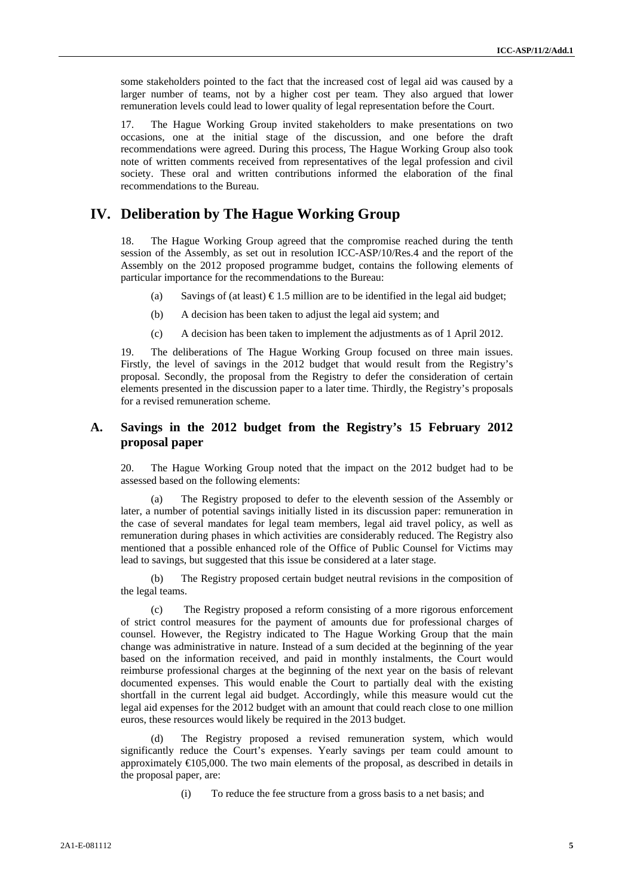some stakeholders pointed to the fact that the increased cost of legal aid was caused by a larger number of teams, not by a higher cost per team. They also argued that lower remuneration levels could lead to lower quality of legal representation before the Court.

17. The Hague Working Group invited stakeholders to make presentations on two occasions, one at the initial stage of the discussion, and one before the draft recommendations were agreed. During this process, The Hague Working Group also took note of written comments received from representatives of the legal profession and civil society. These oral and written contributions informed the elaboration of the final recommendations to the Bureau.

## **IV. Deliberation by The Hague Working Group**

18. The Hague Working Group agreed that the compromise reached during the tenth session of the Assembly, as set out in resolution ICC-ASP/10/Res.4 and the report of the Assembly on the 2012 proposed programme budget, contains the following elements of particular importance for the recommendations to the Bureau:

- (a) Savings of (at least)  $\epsilon$ 1.5 million are to be identified in the legal aid budget;
- (b) A decision has been taken to adjust the legal aid system; and
- (c) A decision has been taken to implement the adjustments as of 1 April 2012.

19. The deliberations of The Hague Working Group focused on three main issues. Firstly, the level of savings in the 2012 budget that would result from the Registry's proposal. Secondly, the proposal from the Registry to defer the consideration of certain elements presented in the discussion paper to a later time. Thirdly, the Registry's proposals for a revised remuneration scheme.

### **A. Savings in the 2012 budget from the Registry's 15 February 2012 proposal paper**

20. The Hague Working Group noted that the impact on the 2012 budget had to be assessed based on the following elements:

The Registry proposed to defer to the eleventh session of the Assembly or later, a number of potential savings initially listed in its discussion paper: remuneration in the case of several mandates for legal team members, legal aid travel policy, as well as remuneration during phases in which activities are considerably reduced. The Registry also mentioned that a possible enhanced role of the Office of Public Counsel for Victims may lead to savings, but suggested that this issue be considered at a later stage.

(b) The Registry proposed certain budget neutral revisions in the composition of the legal teams.

(c) The Registry proposed a reform consisting of a more rigorous enforcement of strict control measures for the payment of amounts due for professional charges of counsel. However, the Registry indicated to The Hague Working Group that the main change was administrative in nature. Instead of a sum decided at the beginning of the year based on the information received, and paid in monthly instalments, the Court would reimburse professional charges at the beginning of the next year on the basis of relevant documented expenses. This would enable the Court to partially deal with the existing shortfall in the current legal aid budget. Accordingly, while this measure would cut the legal aid expenses for the 2012 budget with an amount that could reach close to one million euros, these resources would likely be required in the 2013 budget.

The Registry proposed a revised remuneration system, which would significantly reduce the Court's expenses. Yearly savings per team could amount to approximately  $\epsilon$ 105,000. The two main elements of the proposal, as described in details in the proposal paper, are:

(i) To reduce the fee structure from a gross basis to a net basis; and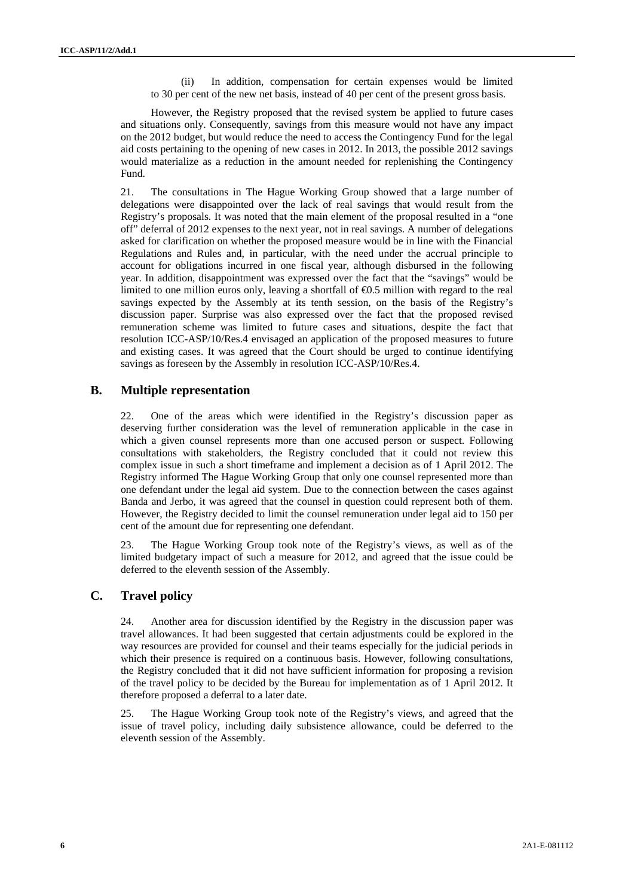(ii) In addition, compensation for certain expenses would be limited to 30 per cent of the new net basis, instead of 40 per cent of the present gross basis.

However, the Registry proposed that the revised system be applied to future cases and situations only. Consequently, savings from this measure would not have any impact on the 2012 budget, but would reduce the need to access the Contingency Fund for the legal aid costs pertaining to the opening of new cases in 2012. In 2013, the possible 2012 savings would materialize as a reduction in the amount needed for replenishing the Contingency Fund.

21. The consultations in The Hague Working Group showed that a large number of delegations were disappointed over the lack of real savings that would result from the Registry's proposals. It was noted that the main element of the proposal resulted in a "one off" deferral of 2012 expenses to the next year, not in real savings. A number of delegations asked for clarification on whether the proposed measure would be in line with the Financial Regulations and Rules and, in particular, with the need under the accrual principle to account for obligations incurred in one fiscal year, although disbursed in the following year. In addition, disappointment was expressed over the fact that the "savings" would be limited to one million euros only, leaving a shortfall of  $\Theta$ .5 million with regard to the real savings expected by the Assembly at its tenth session, on the basis of the Registry's discussion paper. Surprise was also expressed over the fact that the proposed revised remuneration scheme was limited to future cases and situations, despite the fact that resolution ICC-ASP/10/Res.4 envisaged an application of the proposed measures to future and existing cases. It was agreed that the Court should be urged to continue identifying savings as foreseen by the Assembly in resolution ICC-ASP/10/Res.4.

#### **B. Multiple representation**

22. One of the areas which were identified in the Registry's discussion paper as deserving further consideration was the level of remuneration applicable in the case in which a given counsel represents more than one accused person or suspect. Following consultations with stakeholders, the Registry concluded that it could not review this complex issue in such a short timeframe and implement a decision as of 1 April 2012. The Registry informed The Hague Working Group that only one counsel represented more than one defendant under the legal aid system. Due to the connection between the cases against Banda and Jerbo, it was agreed that the counsel in question could represent both of them. However, the Registry decided to limit the counsel remuneration under legal aid to 150 per cent of the amount due for representing one defendant.

23. The Hague Working Group took note of the Registry's views, as well as of the limited budgetary impact of such a measure for 2012, and agreed that the issue could be deferred to the eleventh session of the Assembly.

### **C. Travel policy**

24. Another area for discussion identified by the Registry in the discussion paper was travel allowances. It had been suggested that certain adjustments could be explored in the way resources are provided for counsel and their teams especially for the judicial periods in which their presence is required on a continuous basis. However, following consultations, the Registry concluded that it did not have sufficient information for proposing a revision of the travel policy to be decided by the Bureau for implementation as of 1 April 2012. It therefore proposed a deferral to a later date.

25. The Hague Working Group took note of the Registry's views, and agreed that the issue of travel policy, including daily subsistence allowance, could be deferred to the eleventh session of the Assembly.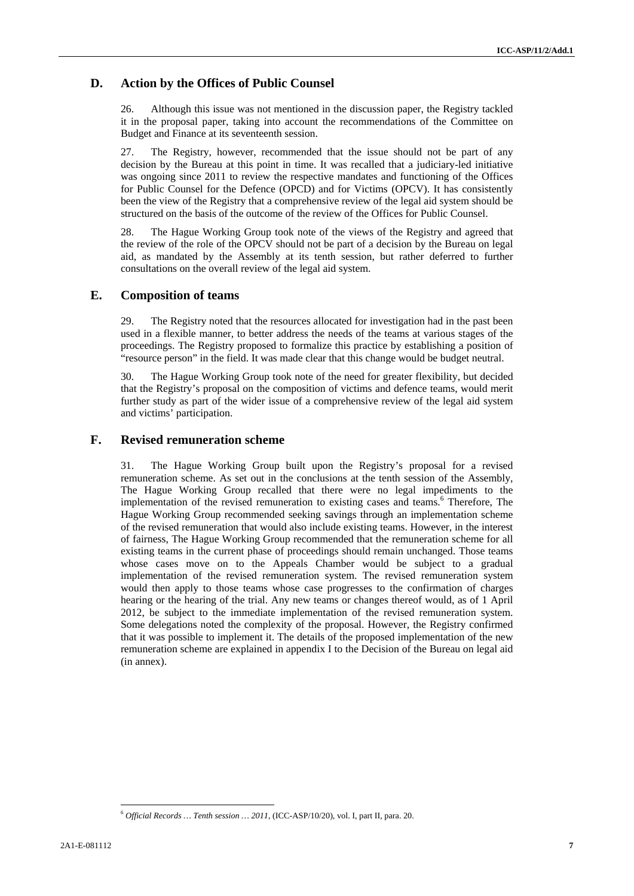### **D. Action by the Offices of Public Counsel**

26. Although this issue was not mentioned in the discussion paper, the Registry tackled it in the proposal paper, taking into account the recommendations of the Committee on Budget and Finance at its seventeenth session.

27. The Registry, however, recommended that the issue should not be part of any decision by the Bureau at this point in time. It was recalled that a judiciary-led initiative was ongoing since 2011 to review the respective mandates and functioning of the Offices for Public Counsel for the Defence (OPCD) and for Victims (OPCV). It has consistently been the view of the Registry that a comprehensive review of the legal aid system should be structured on the basis of the outcome of the review of the Offices for Public Counsel.

28. The Hague Working Group took note of the views of the Registry and agreed that the review of the role of the OPCV should not be part of a decision by the Bureau on legal aid, as mandated by the Assembly at its tenth session, but rather deferred to further consultations on the overall review of the legal aid system.

#### **E. Composition of teams**

29. The Registry noted that the resources allocated for investigation had in the past been used in a flexible manner, to better address the needs of the teams at various stages of the proceedings. The Registry proposed to formalize this practice by establishing a position of "resource person" in the field. It was made clear that this change would be budget neutral.

30. The Hague Working Group took note of the need for greater flexibility, but decided that the Registry's proposal on the composition of victims and defence teams, would merit further study as part of the wider issue of a comprehensive review of the legal aid system and victims' participation.

#### **F. Revised remuneration scheme**

31. The Hague Working Group built upon the Registry's proposal for a revised remuneration scheme. As set out in the conclusions at the tenth session of the Assembly, The Hague Working Group recalled that there were no legal impediments to the implementation of the revised remuneration to existing cases and teams.<sup>6</sup> Therefore, The Hague Working Group recommended seeking savings through an implementation scheme of the revised remuneration that would also include existing teams. However, in the interest of fairness, The Hague Working Group recommended that the remuneration scheme for all existing teams in the current phase of proceedings should remain unchanged. Those teams whose cases move on to the Appeals Chamber would be subject to a gradual implementation of the revised remuneration system. The revised remuneration system would then apply to those teams whose case progresses to the confirmation of charges hearing or the hearing of the trial. Any new teams or changes thereof would, as of 1 April 2012, be subject to the immediate implementation of the revised remuneration system. Some delegations noted the complexity of the proposal. However, the Registry confirmed that it was possible to implement it. The details of the proposed implementation of the new remuneration scheme are explained in appendix I to the Decision of the Bureau on legal aid (in annex).

 <sup>6</sup> *Official Records … Tenth session … 2011*, (ICC-ASP/10/20), vol. I, part II, para. 20.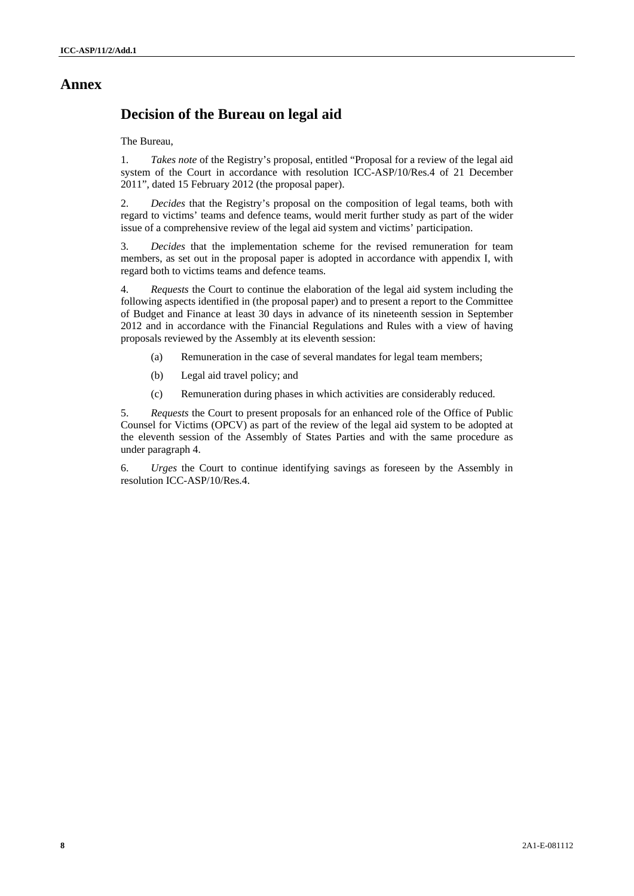# **Annex**

# **Decision of the Bureau on legal aid**

The Bureau,

1. *Takes note* of the Registry's proposal, entitled "Proposal for a review of the legal aid system of the Court in accordance with resolution ICC-ASP/10/Res.4 of 21 December 2011", dated 15 February 2012 (the proposal paper).

2. *Decides* that the Registry's proposal on the composition of legal teams, both with regard to victims' teams and defence teams, would merit further study as part of the wider issue of a comprehensive review of the legal aid system and victims' participation.

3. *Decides* that the implementation scheme for the revised remuneration for team members, as set out in the proposal paper is adopted in accordance with appendix I, with regard both to victims teams and defence teams.

4. *Requests* the Court to continue the elaboration of the legal aid system including the following aspects identified in (the proposal paper) and to present a report to the Committee of Budget and Finance at least 30 days in advance of its nineteenth session in September 2012 and in accordance with the Financial Regulations and Rules with a view of having proposals reviewed by the Assembly at its eleventh session:

- (a) Remuneration in the case of several mandates for legal team members;
- (b) Legal aid travel policy; and
- (c) Remuneration during phases in which activities are considerably reduced.

5. *Requests* the Court to present proposals for an enhanced role of the Office of Public Counsel for Victims (OPCV) as part of the review of the legal aid system to be adopted at the eleventh session of the Assembly of States Parties and with the same procedure as under paragraph 4.

6. *Urges* the Court to continue identifying savings as foreseen by the Assembly in resolution ICC-ASP/10/Res.4.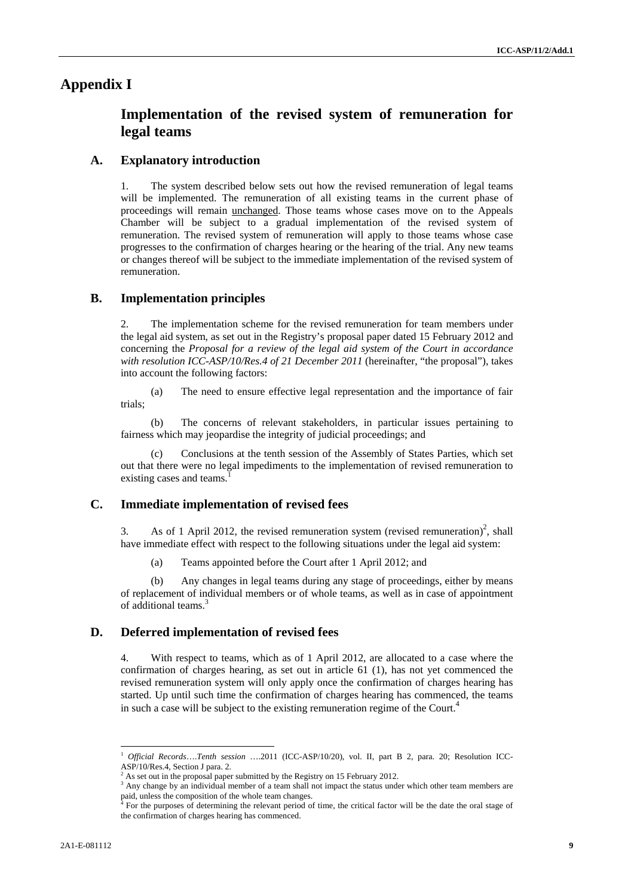### **Appendix I**

# **Implementation of the revised system of remuneration for legal teams**

#### **A. Explanatory introduction**

1. The system described below sets out how the revised remuneration of legal teams will be implemented. The remuneration of all existing teams in the current phase of proceedings will remain unchanged. Those teams whose cases move on to the Appeals Chamber will be subject to a gradual implementation of the revised system of remuneration. The revised system of remuneration will apply to those teams whose case progresses to the confirmation of charges hearing or the hearing of the trial. Any new teams or changes thereof will be subject to the immediate implementation of the revised system of remuneration.

#### **B. Implementation principles**

2. The implementation scheme for the revised remuneration for team members under the legal aid system, as set out in the Registry's proposal paper dated 15 February 2012 and concerning the *Proposal for a review of the legal aid system of the Court in accordance with resolution ICC-ASP/10/Res.4 of 21 December 2011* (hereinafter, "the proposal"), takes into account the following factors:

(a) The need to ensure effective legal representation and the importance of fair trials;

(b) The concerns of relevant stakeholders, in particular issues pertaining to fairness which may jeopardise the integrity of judicial proceedings; and

(c) Conclusions at the tenth session of the Assembly of States Parties, which set out that there were no legal impediments to the implementation of revised remuneration to existing cases and teams.

#### **C. Immediate implementation of revised fees**

3. As of 1 April 2012, the revised remuneration system (revised remuneration)<sup>2</sup>, shall have immediate effect with respect to the following situations under the legal aid system:

(a) Teams appointed before the Court after 1 April 2012; and

(b) Any changes in legal teams during any stage of proceedings, either by means of replacement of individual members or of whole teams, as well as in case of appointment of additional teams.<sup>3</sup>

#### **D. Deferred implementation of revised fees**

4. With respect to teams, which as of 1 April 2012, are allocated to a case where the confirmation of charges hearing, as set out in article 61 (1), has not yet commenced the revised remuneration system will only apply once the confirmation of charges hearing has started. Up until such time the confirmation of charges hearing has commenced, the teams in such a case will be subject to the existing remuneration regime of the Court.<sup>4</sup>

<sup>1</sup> *Official Records*….*Tenth session* ….2011 (ICC-ASP/10/20), vol. II, part B 2, para. 20; Resolution ICC-ASP/10/Res.4, Section J para. 2.

<sup>&</sup>lt;sup>2</sup> As set out in the proposal paper submitted by the Registry on 15 February 2012.<br><sup>3</sup> Any change by an individual member of a team shall not impact the status under which other team members are paid, unless the composition of the whole team changes.<br><sup>4</sup> For the purposes of determining the relevant period of time, the critical factor will be the date the oral stage of

the confirmation of charges hearing has commenced.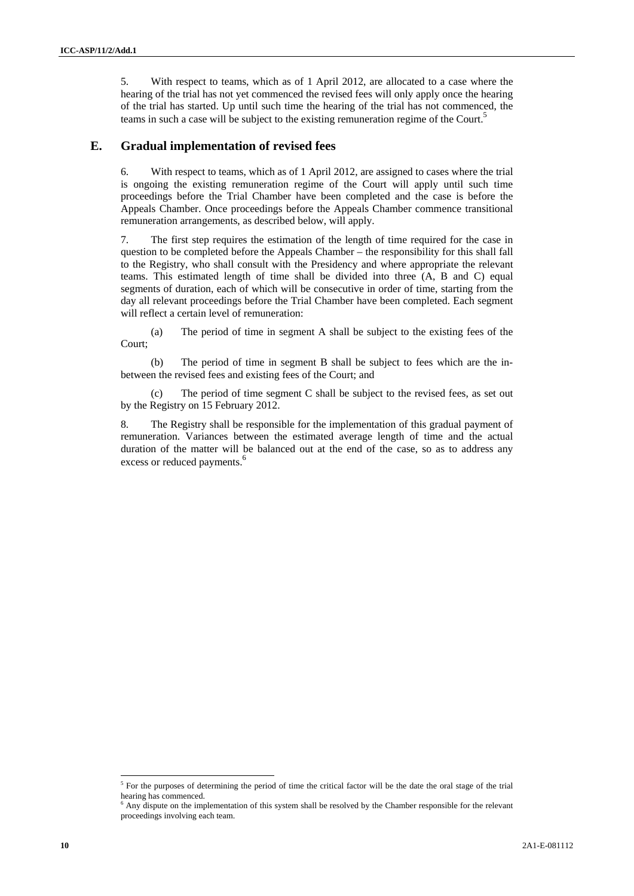5. With respect to teams, which as of 1 April 2012, are allocated to a case where the hearing of the trial has not yet commenced the revised fees will only apply once the hearing of the trial has started. Up until such time the hearing of the trial has not commenced, the teams in such a case will be subject to the existing remuneration regime of the Court.<sup>5</sup>

### **E. Gradual implementation of revised fees**

6. With respect to teams, which as of 1 April 2012, are assigned to cases where the trial is ongoing the existing remuneration regime of the Court will apply until such time proceedings before the Trial Chamber have been completed and the case is before the Appeals Chamber. Once proceedings before the Appeals Chamber commence transitional remuneration arrangements, as described below, will apply.

7. The first step requires the estimation of the length of time required for the case in question to be completed before the Appeals Chamber – the responsibility for this shall fall to the Registry, who shall consult with the Presidency and where appropriate the relevant teams. This estimated length of time shall be divided into three (A, B and C) equal segments of duration, each of which will be consecutive in order of time, starting from the day all relevant proceedings before the Trial Chamber have been completed. Each segment will reflect a certain level of remuneration:

(a) The period of time in segment A shall be subject to the existing fees of the Court;

(b) The period of time in segment B shall be subject to fees which are the inbetween the revised fees and existing fees of the Court; and

(c) The period of time segment C shall be subject to the revised fees, as set out by the Registry on 15 February 2012.

8. The Registry shall be responsible for the implementation of this gradual payment of remuneration. Variances between the estimated average length of time and the actual duration of the matter will be balanced out at the end of the case, so as to address any excess or reduced payments.<sup>6</sup>

 $5$  For the purposes of determining the period of time the critical factor will be the date the oral stage of the trial hearing has commenced.

<sup>&</sup>lt;sup>6</sup> Any dispute on the implementation of this system shall be resolved by the Chamber responsible for the relevant proceedings involving each team.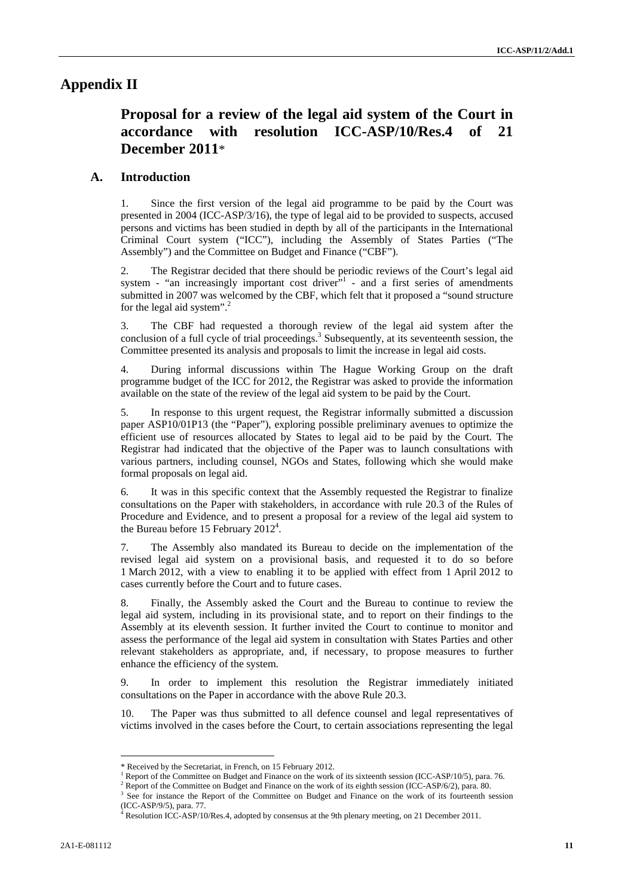## **Appendix II**

# **Proposal for a review of the legal aid system of the Court in accordance with resolution ICC-ASP/10/Res.4 of 21 December 2011**\*

#### **A. Introduction**

1. Since the first version of the legal aid programme to be paid by the Court was presented in 2004 (ICC-ASP/3/16), the type of legal aid to be provided to suspects, accused persons and victims has been studied in depth by all of the participants in the International Criminal Court system ("ICC"), including the Assembly of States Parties ("The Assembly") and the Committee on Budget and Finance ("CBF").

2. The Registrar decided that there should be periodic reviews of the Court's legal aid system - "an increasingly important cost driver" $1$  - and a first series of amendments submitted in 2007 was welcomed by the CBF, which felt that it proposed a "sound structure for the legal aid system". $2$ 

3. The CBF had requested a thorough review of the legal aid system after the conclusion of a full cycle of trial proceedings.<sup>3</sup> Subsequently, at its seventeenth session, the Committee presented its analysis and proposals to limit the increase in legal aid costs.

4. During informal discussions within The Hague Working Group on the draft programme budget of the ICC for 2012, the Registrar was asked to provide the information available on the state of the review of the legal aid system to be paid by the Court.

5. In response to this urgent request, the Registrar informally submitted a discussion paper ASP10/01P13 (the "Paper"), exploring possible preliminary avenues to optimize the efficient use of resources allocated by States to legal aid to be paid by the Court. The Registrar had indicated that the objective of the Paper was to launch consultations with various partners, including counsel, NGOs and States, following which she would make formal proposals on legal aid.

6. It was in this specific context that the Assembly requested the Registrar to finalize consultations on the Paper with stakeholders, in accordance with rule 20.3 of the Rules of Procedure and Evidence, and to present a proposal for a review of the legal aid system to the Bureau before 15 February  $2012^4$ .

7. The Assembly also mandated its Bureau to decide on the implementation of the revised legal aid system on a provisional basis, and requested it to do so before 1 March 2012, with a view to enabling it to be applied with effect from 1 April 2012 to cases currently before the Court and to future cases.

8. Finally, the Assembly asked the Court and the Bureau to continue to review the legal aid system, including in its provisional state, and to report on their findings to the Assembly at its eleventh session. It further invited the Court to continue to monitor and assess the performance of the legal aid system in consultation with States Parties and other relevant stakeholders as appropriate, and, if necessary, to propose measures to further enhance the efficiency of the system.

9. In order to implement this resolution the Registrar immediately initiated consultations on the Paper in accordance with the above Rule 20.3.

10. The Paper was thus submitted to all defence counsel and legal representatives of victims involved in the cases before the Court, to certain associations representing the legal

<sup>\*</sup> Received by the Secretariat, in French, on 15 February 2012. 1

Report of the Committee on Budget and Finance on the work of its sixteenth session (ICC-ASP/10/5), para. 76. 2

Report of the Committee on Budget and Finance on the work of its eighth session (ICC-ASP/6/2), para. 80.

<sup>&</sup>lt;sup>3</sup> See for instance the Report of the Committee on Budget and Finance on the work of its fourteenth session (ICC-ASP/9/5), para. 77.

<sup>4</sup> Resolution ICC-ASP/10/Res.4, adopted by consensus at the 9th plenary meeting, on 21 December 2011.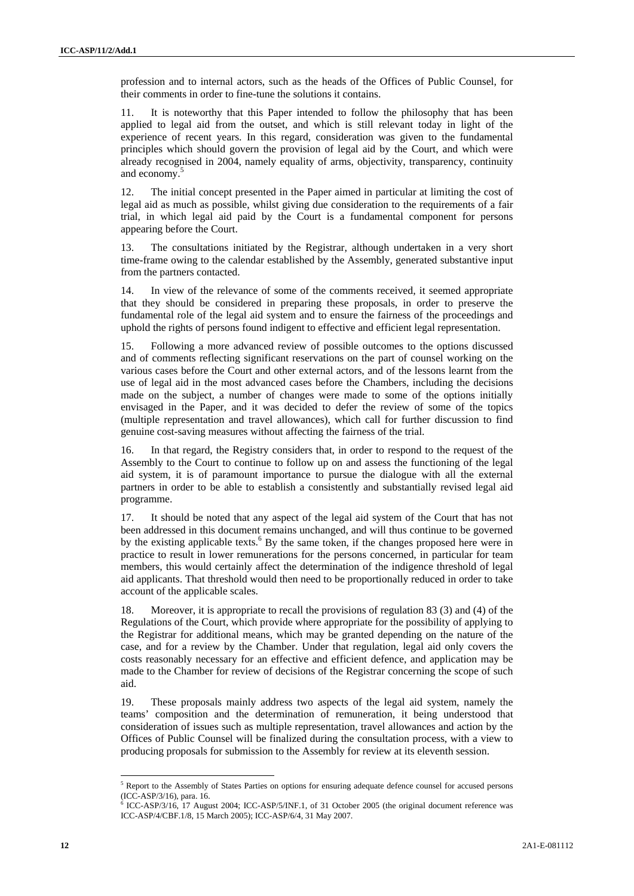profession and to internal actors, such as the heads of the Offices of Public Counsel, for their comments in order to fine-tune the solutions it contains.

11. It is noteworthy that this Paper intended to follow the philosophy that has been applied to legal aid from the outset, and which is still relevant today in light of the experience of recent years. In this regard, consideration was given to the fundamental principles which should govern the provision of legal aid by the Court, and which were already recognised in 2004, namely equality of arms, objectivity, transparency, continuity and economy.<sup>5</sup>

12. The initial concept presented in the Paper aimed in particular at limiting the cost of legal aid as much as possible, whilst giving due consideration to the requirements of a fair trial, in which legal aid paid by the Court is a fundamental component for persons appearing before the Court.

13. The consultations initiated by the Registrar, although undertaken in a very short time-frame owing to the calendar established by the Assembly, generated substantive input from the partners contacted.

14. In view of the relevance of some of the comments received, it seemed appropriate that they should be considered in preparing these proposals, in order to preserve the fundamental role of the legal aid system and to ensure the fairness of the proceedings and uphold the rights of persons found indigent to effective and efficient legal representation.

15. Following a more advanced review of possible outcomes to the options discussed and of comments reflecting significant reservations on the part of counsel working on the various cases before the Court and other external actors, and of the lessons learnt from the use of legal aid in the most advanced cases before the Chambers, including the decisions made on the subject, a number of changes were made to some of the options initially envisaged in the Paper, and it was decided to defer the review of some of the topics (multiple representation and travel allowances), which call for further discussion to find genuine cost-saving measures without affecting the fairness of the trial.

16. In that regard, the Registry considers that, in order to respond to the request of the Assembly to the Court to continue to follow up on and assess the functioning of the legal aid system, it is of paramount importance to pursue the dialogue with all the external partners in order to be able to establish a consistently and substantially revised legal aid programme.

17. It should be noted that any aspect of the legal aid system of the Court that has not been addressed in this document remains unchanged, and will thus continue to be governed by the existing applicable texts.<sup>6</sup> By the same token, if the changes proposed here were in practice to result in lower remunerations for the persons concerned, in particular for team members, this would certainly affect the determination of the indigence threshold of legal aid applicants. That threshold would then need to be proportionally reduced in order to take account of the applicable scales.

18. Moreover, it is appropriate to recall the provisions of regulation 83 (3) and (4) of the Regulations of the Court, which provide where appropriate for the possibility of applying to the Registrar for additional means, which may be granted depending on the nature of the case, and for a review by the Chamber. Under that regulation, legal aid only covers the costs reasonably necessary for an effective and efficient defence, and application may be made to the Chamber for review of decisions of the Registrar concerning the scope of such aid.

19. These proposals mainly address two aspects of the legal aid system, namely the teams' composition and the determination of remuneration, it being understood that consideration of issues such as multiple representation, travel allowances and action by the Offices of Public Counsel will be finalized during the consultation process, with a view to producing proposals for submission to the Assembly for review at its eleventh session.

<sup>&</sup>lt;sup>5</sup> Report to the Assembly of States Parties on options for ensuring adequate defence counsel for accused persons (ICC-ASP/3/16), para. 16.

<sup>6</sup> ICC-ASP/3/16, 17 August 2004; ICC-ASP/5/INF.1, of 31 October 2005 (the original document reference was ICC-ASP/4/CBF.1/8, 15 March 2005); ICC-ASP/6/4, 31 May 2007.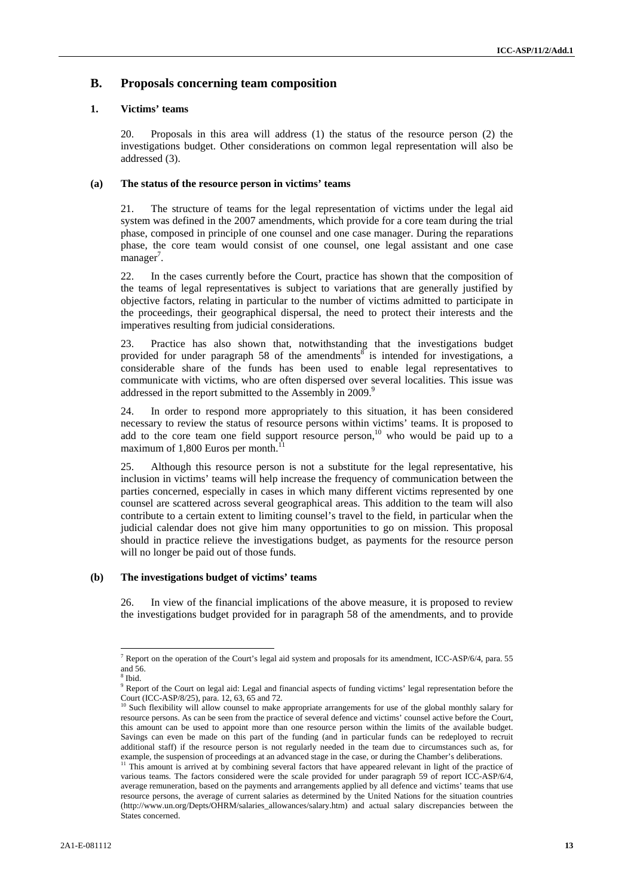#### **B. Proposals concerning team composition**

#### **1. Victims' teams**

20. Proposals in this area will address (1) the status of the resource person (2) the investigations budget. Other considerations on common legal representation will also be addressed (3).

#### **(a) The status of the resource person in victims' teams**

21. The structure of teams for the legal representation of victims under the legal aid system was defined in the 2007 amendments, which provide for a core team during the trial phase, composed in principle of one counsel and one case manager. During the reparations phase, the core team would consist of one counsel, one legal assistant and one case manager<sup>7</sup>.

22. In the cases currently before the Court, practice has shown that the composition of the teams of legal representatives is subject to variations that are generally justified by objective factors, relating in particular to the number of victims admitted to participate in the proceedings, their geographical dispersal, the need to protect their interests and the imperatives resulting from judicial considerations.

23. Practice has also shown that, notwithstanding that the investigations budget provided for under paragraph 58 of the amendments is intended for investigations, a considerable share of the funds has been used to enable legal representatives to communicate with victims, who are often dispersed over several localities. This issue was addressed in the report submitted to the Assembly in 2009.<sup>9</sup>

24. In order to respond more appropriately to this situation, it has been considered necessary to review the status of resource persons within victims' teams. It is proposed to add to the core team one field support resource person,<sup>10</sup> who would be paid up to a maximum of 1,800 Euros per month.

25. Although this resource person is not a substitute for the legal representative, his inclusion in victims' teams will help increase the frequency of communication between the parties concerned, especially in cases in which many different victims represented by one counsel are scattered across several geographical areas. This addition to the team will also contribute to a certain extent to limiting counsel's travel to the field, in particular when the judicial calendar does not give him many opportunities to go on mission. This proposal should in practice relieve the investigations budget, as payments for the resource person will no longer be paid out of those funds.

#### **(b) The investigations budget of victims' teams**

26. In view of the financial implications of the above measure, it is proposed to review the investigations budget provided for in paragraph 58 of the amendments, and to provide

<sup>&</sup>lt;sup>7</sup> Report on the operation of the Court's legal aid system and proposals for its amendment, ICC-ASP/6/4, para. 55 and 56.

<sup>8</sup> Ibid.

<sup>&</sup>lt;sup>9</sup> Report of the Court on legal aid: Legal and financial aspects of funding victims' legal representation before the Court (ICC-ASP/8/25), para. 12, 63, 65 and 72.

<sup>&</sup>lt;sup>10</sup> Such flexibility will allow counsel to make appropriate arrangements for use of the global monthly salary for resource persons. As can be seen from the practice of several defence and victims' counsel active before the Court, this amount can be used to appoint more than one resource person within the limits of the available budget. Savings can even be made on this part of the funding (and in particular funds can be redeployed to recruit additional staff) if the resource person is not regularly needed in the team due to circumstances such as, for example, the suspension of proceedings at an advanced stage in the case, or during the Chamber's deliberations.<br><sup>11</sup> This amount is arrived at by combining several factors that have appeared relevant in light of the practi

various teams. The factors considered were the scale provided for under paragraph 59 of report ICC-ASP/6/4, average remuneration, based on the payments and arrangements applied by all defence and victims' teams that use resource persons, the average of current salaries as determined by the United Nations for the situation countries (http://www.un.org/Depts/OHRM/salaries\_allowances/salary.htm) and actual salary discrepancies between the States concerned.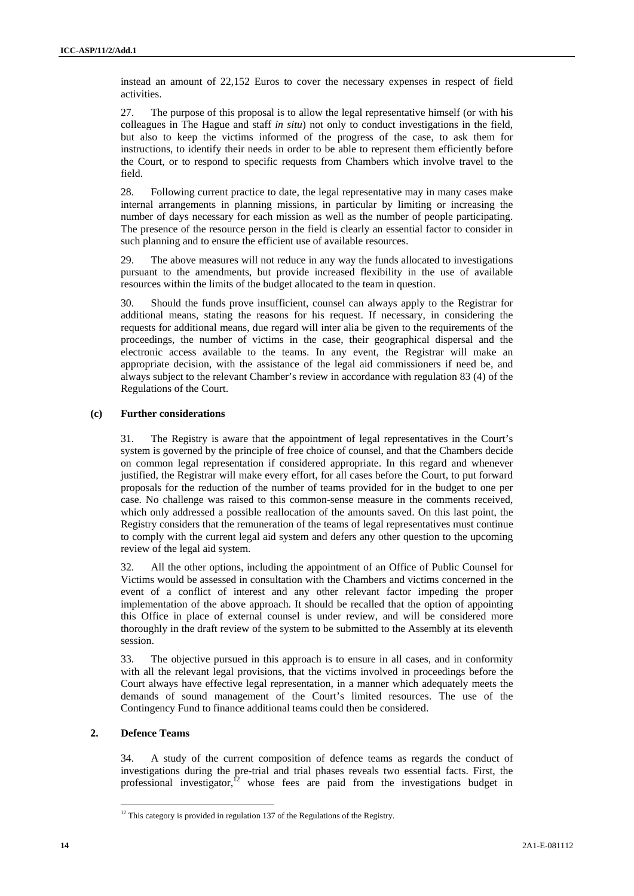instead an amount of 22,152 Euros to cover the necessary expenses in respect of field activities.

27. The purpose of this proposal is to allow the legal representative himself (or with his colleagues in The Hague and staff *in situ*) not only to conduct investigations in the field, but also to keep the victims informed of the progress of the case, to ask them for instructions, to identify their needs in order to be able to represent them efficiently before the Court, or to respond to specific requests from Chambers which involve travel to the field.

28. Following current practice to date, the legal representative may in many cases make internal arrangements in planning missions, in particular by limiting or increasing the number of days necessary for each mission as well as the number of people participating. The presence of the resource person in the field is clearly an essential factor to consider in such planning and to ensure the efficient use of available resources.

29. The above measures will not reduce in any way the funds allocated to investigations pursuant to the amendments, but provide increased flexibility in the use of available resources within the limits of the budget allocated to the team in question.

30. Should the funds prove insufficient, counsel can always apply to the Registrar for additional means, stating the reasons for his request. If necessary, in considering the requests for additional means, due regard will inter alia be given to the requirements of the proceedings, the number of victims in the case, their geographical dispersal and the electronic access available to the teams. In any event, the Registrar will make an appropriate decision, with the assistance of the legal aid commissioners if need be, and always subject to the relevant Chamber's review in accordance with regulation 83 (4) of the Regulations of the Court.

#### **(c) Further considerations**

31. The Registry is aware that the appointment of legal representatives in the Court's system is governed by the principle of free choice of counsel, and that the Chambers decide on common legal representation if considered appropriate. In this regard and whenever justified, the Registrar will make every effort, for all cases before the Court, to put forward proposals for the reduction of the number of teams provided for in the budget to one per case. No challenge was raised to this common-sense measure in the comments received, which only addressed a possible reallocation of the amounts saved. On this last point, the Registry considers that the remuneration of the teams of legal representatives must continue to comply with the current legal aid system and defers any other question to the upcoming review of the legal aid system.

32. All the other options, including the appointment of an Office of Public Counsel for Victims would be assessed in consultation with the Chambers and victims concerned in the event of a conflict of interest and any other relevant factor impeding the proper implementation of the above approach. It should be recalled that the option of appointing this Office in place of external counsel is under review, and will be considered more thoroughly in the draft review of the system to be submitted to the Assembly at its eleventh session.

33. The objective pursued in this approach is to ensure in all cases, and in conformity with all the relevant legal provisions, that the victims involved in proceedings before the Court always have effective legal representation, in a manner which adequately meets the demands of sound management of the Court's limited resources. The use of the Contingency Fund to finance additional teams could then be considered.

#### **2. Defence Teams**

34. A study of the current composition of defence teams as regards the conduct of investigations during the pre-trial and trial phases reveals two essential facts. First, the professional investigator, $12$  whose fees are paid from the investigations budget in

 $12$  This category is provided in regulation 137 of the Regulations of the Registry.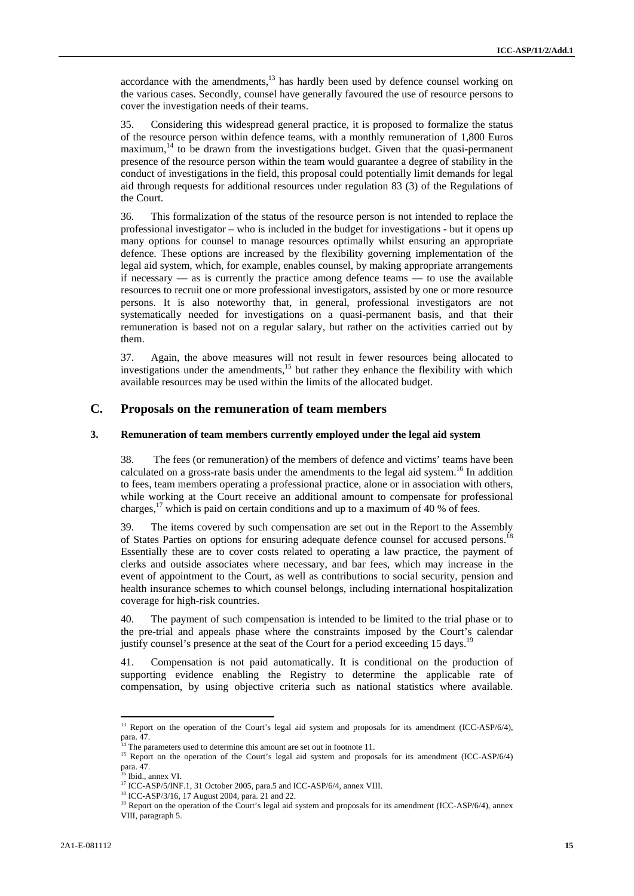accordance with the amendments, $13$  has hardly been used by defence counsel working on the various cases. Secondly, counsel have generally favoured the use of resource persons to cover the investigation needs of their teams.

35. Considering this widespread general practice, it is proposed to formalize the status of the resource person within defence teams, with a monthly remuneration of 1,800 Euros  $maximum$ <sup>14</sup> to be drawn from the investigations budget. Given that the quasi-permanent presence of the resource person within the team would guarantee a degree of stability in the conduct of investigations in the field, this proposal could potentially limit demands for legal aid through requests for additional resources under regulation 83 (3) of the Regulations of the Court.

36. This formalization of the status of the resource person is not intended to replace the professional investigator – who is included in the budget for investigations - but it opens up many options for counsel to manage resources optimally whilst ensuring an appropriate defence. These options are increased by the flexibility governing implementation of the legal aid system, which, for example, enables counsel, by making appropriate arrangements if necessary — as is currently the practice among defence teams — to use the available resources to recruit one or more professional investigators, assisted by one or more resource persons. It is also noteworthy that, in general, professional investigators are not systematically needed for investigations on a quasi-permanent basis, and that their remuneration is based not on a regular salary, but rather on the activities carried out by them.

37. Again, the above measures will not result in fewer resources being allocated to investigations under the amendments,<sup>15</sup> but rather they enhance the flexibility with which available resources may be used within the limits of the allocated budget.

#### **C. Proposals on the remuneration of team members**

#### **3. Remuneration of team members currently employed under the legal aid system**

38. The fees (or remuneration) of the members of defence and victims' teams have been calculated on a gross-rate basis under the amendments to the legal aid system.<sup>16</sup> In addition to fees, team members operating a professional practice, alone or in association with others, while working at the Court receive an additional amount to compensate for professional charges,<sup>17</sup> which is paid on certain conditions and up to a maximum of 40 % of fees.

39. The items covered by such compensation are set out in the Report to the Assembly of States Parties on options for ensuring adequate defence counsel for accused persons.<sup>18</sup> Essentially these are to cover costs related to operating a law practice, the payment of clerks and outside associates where necessary, and bar fees, which may increase in the event of appointment to the Court, as well as contributions to social security, pension and health insurance schemes to which counsel belongs, including international hospitalization coverage for high-risk countries.

40. The payment of such compensation is intended to be limited to the trial phase or to the pre-trial and appeals phase where the constraints imposed by the Court's calendar justify counsel's presence at the seat of the Court for a period exceeding 15 days.<sup>19</sup>

41. Compensation is not paid automatically. It is conditional on the production of supporting evidence enabling the Registry to determine the applicable rate of compensation, by using objective criteria such as national statistics where available.

<sup>&</sup>lt;sup>13</sup> Report on the operation of the Court's legal aid system and proposals for its amendment (ICC-ASP/6/4), para. 47.

The parameters used to determine this amount are set out in footnote 11.

<sup>&</sup>lt;sup>15</sup> Report on the operation of the Court's legal aid system and proposals for its amendment (ICC-ASP/6/4) para. 47.

<sup>&</sup>lt;sup>6</sup> Ibid., annex VI.

<sup>17</sup> ICC-ASP/5/INF.1, 31 October 2005, para.5 and ICC-ASP/6/4, annex VIII.<br><sup>18</sup> ICC-ASP/3/16, 17 August 2004, para. 21 and 22.

<sup>&</sup>lt;sup>19</sup> Report on the operation of the Court's legal aid system and proposals for its amendment (ICC-ASP/6/4), annex VIII, paragraph 5.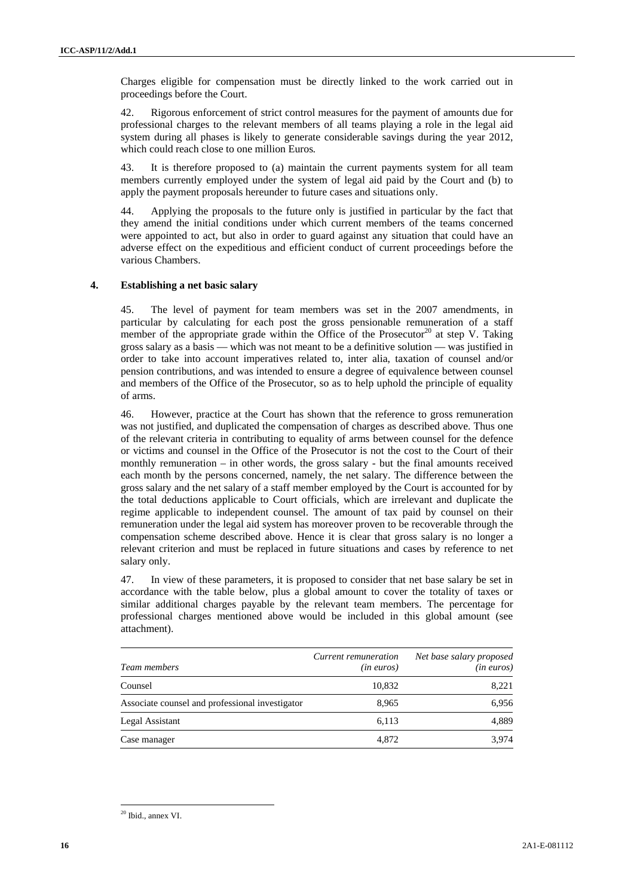Charges eligible for compensation must be directly linked to the work carried out in proceedings before the Court.

42. Rigorous enforcement of strict control measures for the payment of amounts due for professional charges to the relevant members of all teams playing a role in the legal aid system during all phases is likely to generate considerable savings during the year 2012, which could reach close to one million Euros*.* 

43. It is therefore proposed to (a) maintain the current payments system for all team members currently employed under the system of legal aid paid by the Court and (b) to apply the payment proposals hereunder to future cases and situations only.

44. Applying the proposals to the future only is justified in particular by the fact that they amend the initial conditions under which current members of the teams concerned were appointed to act, but also in order to guard against any situation that could have an adverse effect on the expeditious and efficient conduct of current proceedings before the various Chambers.

#### **4. Establishing a net basic salary**

45. The level of payment for team members was set in the 2007 amendments, in particular by calculating for each post the gross pensionable remuneration of a staff member of the appropriate grade within the Office of the Prosecutor<sup>20</sup> at step V. Taking gross salary as a basis — which was not meant to be a definitive solution — was justified in order to take into account imperatives related to, inter alia, taxation of counsel and/or pension contributions, and was intended to ensure a degree of equivalence between counsel and members of the Office of the Prosecutor, so as to help uphold the principle of equality of arms.

46. However, practice at the Court has shown that the reference to gross remuneration was not justified, and duplicated the compensation of charges as described above. Thus one of the relevant criteria in contributing to equality of arms between counsel for the defence or victims and counsel in the Office of the Prosecutor is not the cost to the Court of their monthly remuneration – in other words, the gross salary - but the final amounts received each month by the persons concerned, namely, the net salary. The difference between the gross salary and the net salary of a staff member employed by the Court is accounted for by the total deductions applicable to Court officials, which are irrelevant and duplicate the regime applicable to independent counsel. The amount of tax paid by counsel on their remuneration under the legal aid system has moreover proven to be recoverable through the compensation scheme described above. Hence it is clear that gross salary is no longer a relevant criterion and must be replaced in future situations and cases by reference to net salary only.

47. In view of these parameters, it is proposed to consider that net base salary be set in accordance with the table below, plus a global amount to cover the totality of taxes or similar additional charges payable by the relevant team members. The percentage for professional charges mentioned above would be included in this global amount (see attachment).

| Team members                                    | Current remuneration<br>$(in\>euros)$ | Net base salary proposed<br>$(in\>euros)$ |  |
|-------------------------------------------------|---------------------------------------|-------------------------------------------|--|
| Counsel                                         | 10,832                                | 8,221                                     |  |
| Associate counsel and professional investigator | 8.965                                 | 6,956                                     |  |
| Legal Assistant                                 | 6,113                                 | 4,889                                     |  |
| Case manager                                    | 4,872                                 | 3.974                                     |  |

 20 Ibid., annex VI.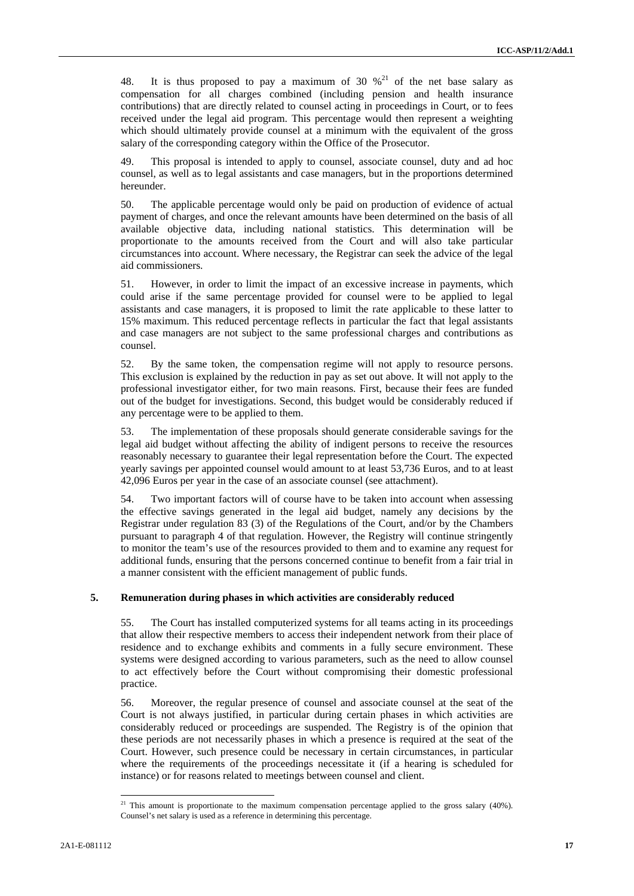48. It is thus proposed to pay a maximum of 30  $\frac{1}{2}$  of the net base salary as compensation for all charges combined (including pension and health insurance contributions) that are directly related to counsel acting in proceedings in Court, or to fees received under the legal aid program. This percentage would then represent a weighting which should ultimately provide counsel at a minimum with the equivalent of the gross salary of the corresponding category within the Office of the Prosecutor.

49. This proposal is intended to apply to counsel, associate counsel, duty and ad hoc counsel, as well as to legal assistants and case managers, but in the proportions determined hereunder.

50. The applicable percentage would only be paid on production of evidence of actual payment of charges, and once the relevant amounts have been determined on the basis of all available objective data, including national statistics. This determination will be proportionate to the amounts received from the Court and will also take particular circumstances into account. Where necessary, the Registrar can seek the advice of the legal aid commissioners.

51. However, in order to limit the impact of an excessive increase in payments, which could arise if the same percentage provided for counsel were to be applied to legal assistants and case managers, it is proposed to limit the rate applicable to these latter to 15% maximum. This reduced percentage reflects in particular the fact that legal assistants and case managers are not subject to the same professional charges and contributions as counsel.

52. By the same token, the compensation regime will not apply to resource persons. This exclusion is explained by the reduction in pay as set out above. It will not apply to the professional investigator either, for two main reasons. First, because their fees are funded out of the budget for investigations. Second, this budget would be considerably reduced if any percentage were to be applied to them.

53. The implementation of these proposals should generate considerable savings for the legal aid budget without affecting the ability of indigent persons to receive the resources reasonably necessary to guarantee their legal representation before the Court. The expected yearly savings per appointed counsel would amount to at least 53,736 Euros, and to at least 42,096 Euros per year in the case of an associate counsel (see attachment).

54. Two important factors will of course have to be taken into account when assessing the effective savings generated in the legal aid budget, namely any decisions by the Registrar under regulation 83 (3) of the Regulations of the Court, and/or by the Chambers pursuant to paragraph 4 of that regulation. However, the Registry will continue stringently to monitor the team's use of the resources provided to them and to examine any request for additional funds, ensuring that the persons concerned continue to benefit from a fair trial in a manner consistent with the efficient management of public funds.

#### **5. Remuneration during phases in which activities are considerably reduced**

55. The Court has installed computerized systems for all teams acting in its proceedings that allow their respective members to access their independent network from their place of residence and to exchange exhibits and comments in a fully secure environment. These systems were designed according to various parameters, such as the need to allow counsel to act effectively before the Court without compromising their domestic professional practice.

56. Moreover, the regular presence of counsel and associate counsel at the seat of the Court is not always justified, in particular during certain phases in which activities are considerably reduced or proceedings are suspended. The Registry is of the opinion that these periods are not necessarily phases in which a presence is required at the seat of the Court. However, such presence could be necessary in certain circumstances, in particular where the requirements of the proceedings necessitate it (if a hearing is scheduled for instance) or for reasons related to meetings between counsel and client.

<sup>&</sup>lt;sup>21</sup> This amount is proportionate to the maximum compensation percentage applied to the gross salary (40%). Counsel's net salary is used as a reference in determining this percentage.